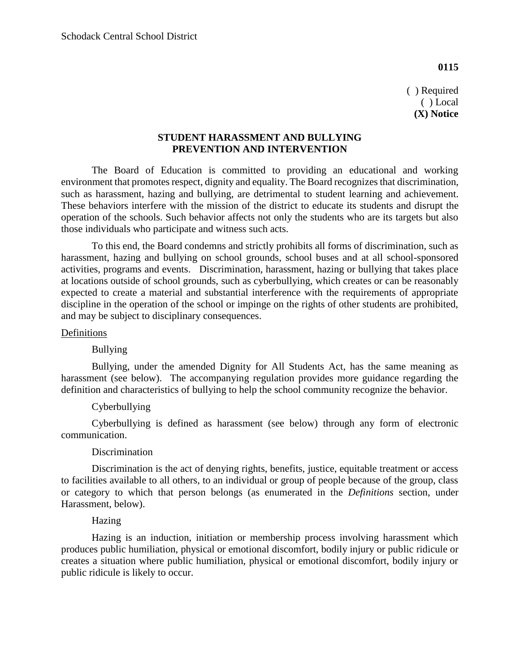**0115**

( ) Required ( ) Local **(X) Notice**

## **STUDENT HARASSMENT AND BULLYING PREVENTION AND INTERVENTION**

The Board of Education is committed to providing an educational and working environment that promotes respect, dignity and equality. The Board recognizes that discrimination, such as harassment, hazing and bullying, are detrimental to student learning and achievement. These behaviors interfere with the mission of the district to educate its students and disrupt the operation of the schools. Such behavior affects not only the students who are its targets but also those individuals who participate and witness such acts.

To this end, the Board condemns and strictly prohibits all forms of discrimination, such as harassment, hazing and bullying on school grounds, school buses and at all school-sponsored activities, programs and events. Discrimination, harassment, hazing or bullying that takes place at locations outside of school grounds, such as cyberbullying, which creates or can be reasonably expected to create a material and substantial interference with the requirements of appropriate discipline in the operation of the school or impinge on the rights of other students are prohibited, and may be subject to disciplinary consequences.

#### Definitions

### Bullying

Bullying, under the amended Dignity for All Students Act, has the same meaning as harassment (see below). The accompanying regulation provides more guidance regarding the definition and characteristics of bullying to help the school community recognize the behavior.

### Cyberbullying

Cyberbullying is defined as harassment (see below) through any form of electronic communication.

# Discrimination

Discrimination is the act of denying rights, benefits, justice, equitable treatment or access to facilities available to all others, to an individual or group of people because of the group, class or category to which that person belongs (as enumerated in the *Definitions* section, under Harassment, below).

#### Hazing

Hazing is an induction, initiation or membership process involving harassment which produces public humiliation, physical or emotional discomfort, bodily injury or public ridicule or creates a situation where public humiliation, physical or emotional discomfort, bodily injury or public ridicule is likely to occur.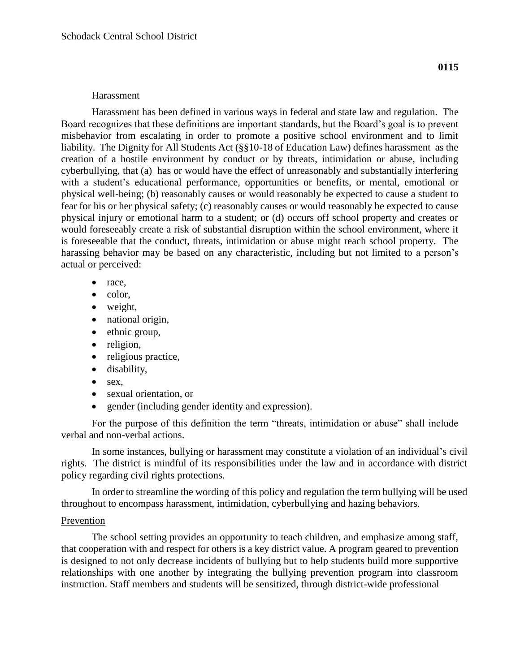#### Harassment

Harassment has been defined in various ways in federal and state law and regulation. The Board recognizes that these definitions are important standards, but the Board's goal is to prevent misbehavior from escalating in order to promote a positive school environment and to limit liability. The Dignity for All Students Act (§§10-18 of Education Law) defines harassment as the creation of a hostile environment by conduct or by threats, intimidation or abuse, including cyberbullying, that (a) has or would have the effect of unreasonably and substantially interfering with a student's educational performance, opportunities or benefits, or mental, emotional or physical well-being; (b) reasonably causes or would reasonably be expected to cause a student to fear for his or her physical safety; (c) reasonably causes or would reasonably be expected to cause physical injury or emotional harm to a student; or (d) occurs off school property and creates or would foreseeably create a risk of substantial disruption within the school environment, where it is foreseeable that the conduct, threats, intimidation or abuse might reach school property. The harassing behavior may be based on any characteristic, including but not limited to a person's actual or perceived:

- $\bullet$  race,
- $\bullet$  color,
- weight,
- national origin,
- $\bullet$  ethnic group,
- religion,
- religious practice,
- disability,
- $\bullet$  sex,
- sexual orientation, or
- gender (including gender identity and expression).

For the purpose of this definition the term "threats, intimidation or abuse" shall include verbal and non-verbal actions.

In some instances, bullying or harassment may constitute a violation of an individual's civil rights. The district is mindful of its responsibilities under the law and in accordance with district policy regarding civil rights protections.

In order to streamline the wording of this policy and regulation the term bullying will be used throughout to encompass harassment, intimidation, cyberbullying and hazing behaviors.

#### Prevention

The school setting provides an opportunity to teach children, and emphasize among staff, that cooperation with and respect for others is a key district value. A program geared to prevention is designed to not only decrease incidents of bullying but to help students build more supportive relationships with one another by integrating the bullying prevention program into classroom instruction. Staff members and students will be sensitized, through district-wide professional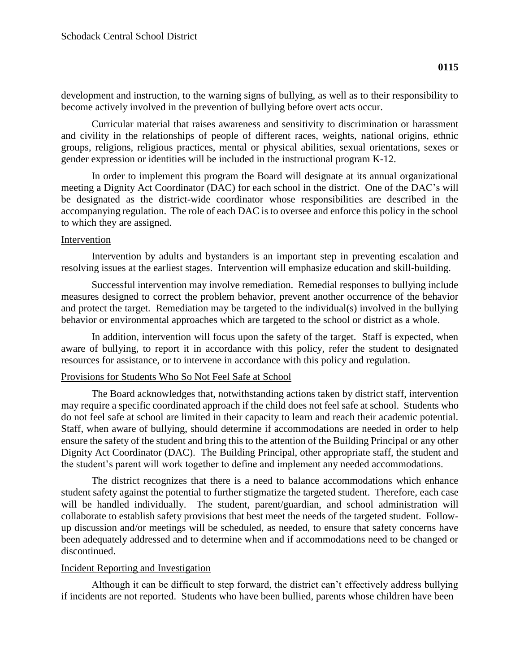Curricular material that raises awareness and sensitivity to discrimination or harassment and civility in the relationships of people of different races, weights, national origins, ethnic groups, religions, religious practices, mental or physical abilities, sexual orientations, sexes or gender expression or identities will be included in the instructional program K-12.

In order to implement this program the Board will designate at its annual organizational meeting a Dignity Act Coordinator (DAC) for each school in the district. One of the DAC's will be designated as the district-wide coordinator whose responsibilities are described in the accompanying regulation. The role of each DAC is to oversee and enforce this policy in the school to which they are assigned.

# Intervention

Intervention by adults and bystanders is an important step in preventing escalation and resolving issues at the earliest stages. Intervention will emphasize education and skill-building.

Successful intervention may involve remediation. Remedial responses to bullying include measures designed to correct the problem behavior, prevent another occurrence of the behavior and protect the target. Remediation may be targeted to the individual(s) involved in the bullying behavior or environmental approaches which are targeted to the school or district as a whole.

In addition, intervention will focus upon the safety of the target. Staff is expected, when aware of bullying, to report it in accordance with this policy, refer the student to designated resources for assistance, or to intervene in accordance with this policy and regulation.

# Provisions for Students Who So Not Feel Safe at School

The Board acknowledges that, notwithstanding actions taken by district staff, intervention may require a specific coordinated approach if the child does not feel safe at school. Students who do not feel safe at school are limited in their capacity to learn and reach their academic potential. Staff, when aware of bullying, should determine if accommodations are needed in order to help ensure the safety of the student and bring this to the attention of the Building Principal or any other Dignity Act Coordinator (DAC). The Building Principal, other appropriate staff, the student and the student's parent will work together to define and implement any needed accommodations.

The district recognizes that there is a need to balance accommodations which enhance student safety against the potential to further stigmatize the targeted student. Therefore, each case will be handled individually. The student, parent/guardian, and school administration will collaborate to establish safety provisions that best meet the needs of the targeted student. Followup discussion and/or meetings will be scheduled, as needed, to ensure that safety concerns have been adequately addressed and to determine when and if accommodations need to be changed or discontinued.

# Incident Reporting and Investigation

Although it can be difficult to step forward, the district can't effectively address bullying if incidents are not reported. Students who have been bullied, parents whose children have been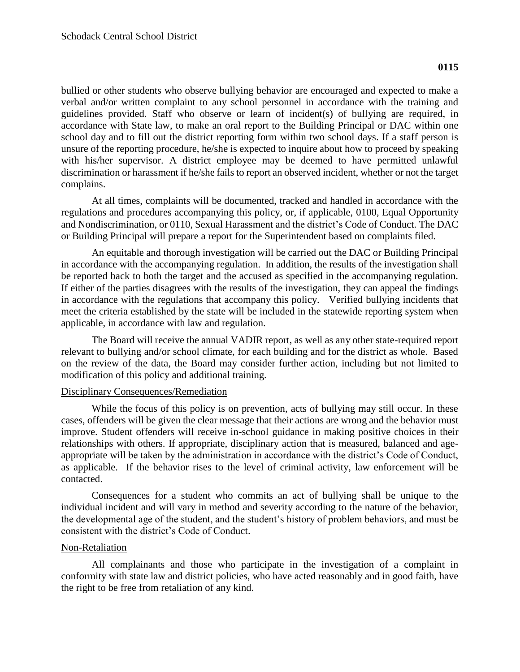bullied or other students who observe bullying behavior are encouraged and expected to make a verbal and/or written complaint to any school personnel in accordance with the training and guidelines provided. Staff who observe or learn of incident(s) of bullying are required, in accordance with State law, to make an oral report to the Building Principal or DAC within one school day and to fill out the district reporting form within two school days. If a staff person is unsure of the reporting procedure, he/she is expected to inquire about how to proceed by speaking with his/her supervisor. A district employee may be deemed to have permitted unlawful discrimination or harassment if he/she fails to report an observed incident, whether or not the target complains.

At all times, complaints will be documented, tracked and handled in accordance with the regulations and procedures accompanying this policy, or, if applicable, 0100, Equal Opportunity and Nondiscrimination, or 0110, Sexual Harassment and the district's Code of Conduct. The DAC or Building Principal will prepare a report for the Superintendent based on complaints filed.

An equitable and thorough investigation will be carried out the DAC or Building Principal in accordance with the accompanying regulation. In addition, the results of the investigation shall be reported back to both the target and the accused as specified in the accompanying regulation. If either of the parties disagrees with the results of the investigation, they can appeal the findings in accordance with the regulations that accompany this policy. Verified bullying incidents that meet the criteria established by the state will be included in the statewide reporting system when applicable, in accordance with law and regulation.

The Board will receive the annual VADIR report, as well as any other state-required report relevant to bullying and/or school climate, for each building and for the district as whole. Based on the review of the data, the Board may consider further action, including but not limited to modification of this policy and additional training.

### Disciplinary Consequences/Remediation

While the focus of this policy is on prevention, acts of bullying may still occur. In these cases, offenders will be given the clear message that their actions are wrong and the behavior must improve. Student offenders will receive in-school guidance in making positive choices in their relationships with others. If appropriate, disciplinary action that is measured, balanced and ageappropriate will be taken by the administration in accordance with the district's Code of Conduct, as applicable. If the behavior rises to the level of criminal activity, law enforcement will be contacted.

Consequences for a student who commits an act of bullying shall be unique to the individual incident and will vary in method and severity according to the nature of the behavior, the developmental age of the student, and the student's history of problem behaviors, and must be consistent with the district's Code of Conduct.

# Non-Retaliation

All complainants and those who participate in the investigation of a complaint in conformity with state law and district policies, who have acted reasonably and in good faith, have the right to be free from retaliation of any kind.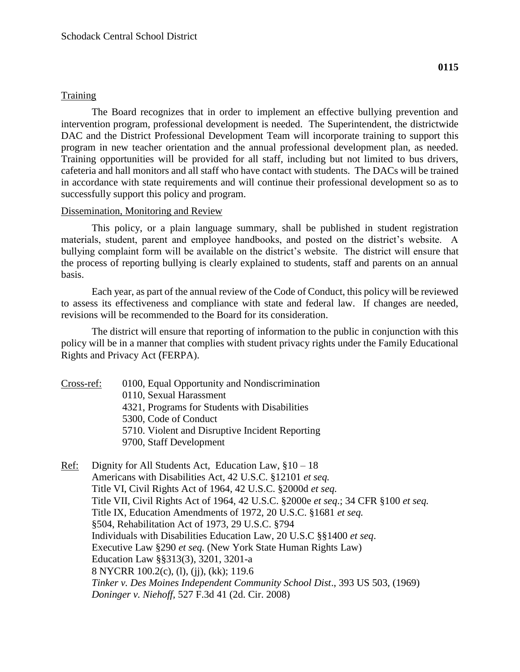# **Training**

The Board recognizes that in order to implement an effective bullying prevention and intervention program, professional development is needed. The Superintendent, the districtwide DAC and the District Professional Development Team will incorporate training to support this program in new teacher orientation and the annual professional development plan, as needed. Training opportunities will be provided for all staff, including but not limited to bus drivers, cafeteria and hall monitors and all staff who have contact with students. The DACs will be trained in accordance with state requirements and will continue their professional development so as to successfully support this policy and program.

### Dissemination, Monitoring and Review

This policy, or a plain language summary, shall be published in student registration materials, student, parent and employee handbooks, and posted on the district's website. A bullying complaint form will be available on the district's website. The district will ensure that the process of reporting bullying is clearly explained to students, staff and parents on an annual basis.

Each year, as part of the annual review of the Code of Conduct, this policy will be reviewed to assess its effectiveness and compliance with state and federal law. If changes are needed, revisions will be recommended to the Board for its consideration.

The district will ensure that reporting of information to the public in conjunction with this policy will be in a manner that complies with student privacy rights under the Family Educational Rights and Privacy Act (FERPA).

Cross-ref: 0100, Equal Opportunity and Nondiscrimination

0110, Sexual Harassment

4321, Programs for Students with Disabilities

5300, Code of Conduct

5710. Violent and Disruptive Incident Reporting

- 9700, Staff Development
- Ref: Dignity for All Students Act, Education Law, §10 18 Americans with Disabilities Act, 42 U.S.C. §12101 *et seq.* Title VI, Civil Rights Act of 1964, 42 U.S.C. §2000d *et seq.* Title VII, Civil Rights Act of 1964, 42 U.S.C. §2000e *et seq*.; 34 CFR §100 *et seq.* Title IX, Education Amendments of 1972, 20 U.S.C. §1681 *et seq.* §504, Rehabilitation Act of 1973, 29 U.S.C. §794 Individuals with Disabilities Education Law, 20 U.S.C §§1400 *et seq*. Executive Law §290 *et seq.* (New York State Human Rights Law) Education Law §§313(3), 3201, 3201-a 8 NYCRR 100.2(c), (l), (jj), (kk); 119.6 *Tinker v. Des Moines Independent Community School Dist*., 393 US 503, (1969) *Doninger v. Niehoff,* 527 F.3d 41 (2d. Cir. 2008)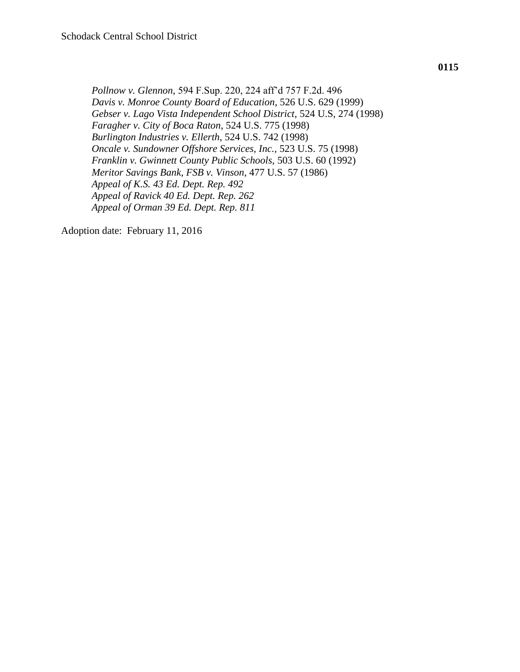*Pollnow v. Glennon,* 594 F.Sup. 220, 224 aff'd 757 F.2d. 496 *Davis v. Monroe County Board of Education*, 526 U.S. 629 (1999) *Gebser v. Lago Vista Independent School District*, 524 U.S, 274 (1998) *Faragher v. City of Boca Raton*, 524 U.S. 775 (1998) *Burlington Industries v. Ellerth*, 524 U.S. 742 (1998) *Oncale v. Sundowner Offshore Services, Inc.,* 523 U.S. 75 (1998) *Franklin v. Gwinnett County Public Schools,* 503 U.S. 60 (1992) *Meritor Savings Bank, FSB v. Vinson*, 477 U.S. 57 (1986) *Appeal of K.S. 43 Ed. Dept. Rep. 492 Appeal of Ravick 40 Ed. Dept. Rep. 262 Appeal of Orman 39 Ed. Dept. Rep. 811*

Adoption date: February 11, 2016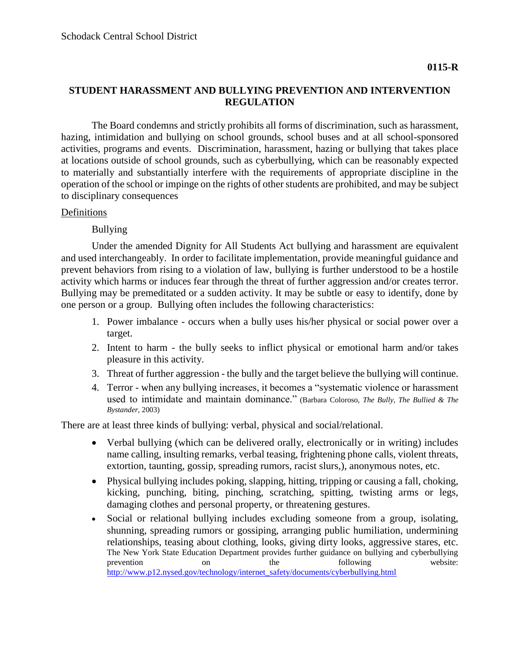### **STUDENT HARASSMENT AND BULLYING PREVENTION AND INTERVENTION REGULATION**

The Board condemns and strictly prohibits all forms of discrimination, such as harassment, hazing, intimidation and bullying on school grounds, school buses and at all school-sponsored activities, programs and events. Discrimination, harassment, hazing or bullying that takes place at locations outside of school grounds, such as cyberbullying, which can be reasonably expected to materially and substantially interfere with the requirements of appropriate discipline in the operation of the school or impinge on the rights of other students are prohibited, and may be subject to disciplinary consequences

# Definitions

Bullying

Under the amended Dignity for All Students Act bullying and harassment are equivalent and used interchangeably. In order to facilitate implementation, provide meaningful guidance and prevent behaviors from rising to a violation of law, bullying is further understood to be a hostile activity which harms or induces fear through the threat of further aggression and/or creates terror. Bullying may be premeditated or a sudden activity. It may be subtle or easy to identify, done by one person or a group. Bullying often includes the following characteristics:

- 1. Power imbalance occurs when a bully uses his/her physical or social power over a target.
- 2. Intent to harm the bully seeks to inflict physical or emotional harm and/or takes pleasure in this activity.
- 3. Threat of further aggression the bully and the target believe the bullying will continue.
- 4. Terror when any bullying increases, it becomes a "systematic violence or harassment used to intimidate and maintain dominance." (Barbara Coloroso, *The Bully, The Bullied & The Bystander*, 2003)

There are at least three kinds of bullying: verbal, physical and social/relational.

- Verbal bullying (which can be delivered orally, electronically or in writing) includes name calling, insulting remarks, verbal teasing, frightening phone calls, violent threats, extortion, taunting, gossip, spreading rumors, racist slurs,), anonymous notes, etc.
- Physical bullying includes poking, slapping, hitting, tripping or causing a fall, choking, kicking, punching, biting, pinching, scratching, spitting, twisting arms or legs, damaging clothes and personal property, or threatening gestures.
- Social or relational bullying includes excluding someone from a group, isolating, shunning, spreading rumors or gossiping, arranging public humiliation, undermining relationships, teasing about clothing, looks, giving dirty looks, aggressive stares, etc. The New York State Education Department provides further guidance on bullying and cyberbullying prevention on the following website: [http://www.p12.nysed.gov/technology/internet\\_safety/documents/cyberbullying.html](http://www.p12.nysed.gov/technology/internet_safety/documents/cyberbullying.html)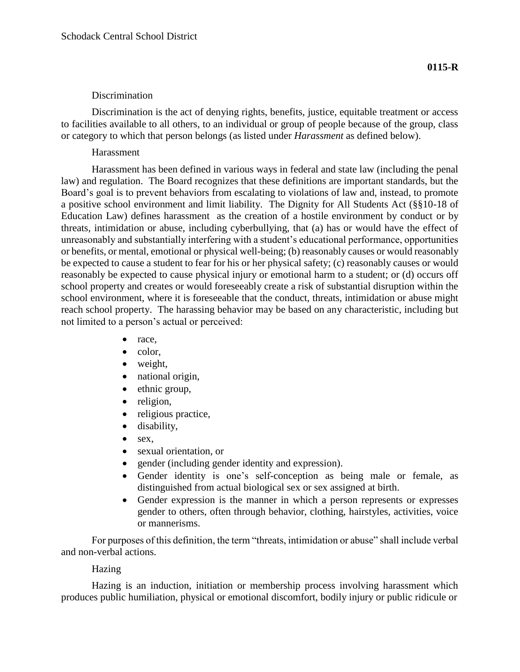### **Discrimination**

Discrimination is the act of denying rights, benefits, justice, equitable treatment or access to facilities available to all others, to an individual or group of people because of the group, class or category to which that person belongs (as listed under *Harassment* as defined below).

### Harassment

Harassment has been defined in various ways in federal and state law (including the penal law) and regulation. The Board recognizes that these definitions are important standards, but the Board's goal is to prevent behaviors from escalating to violations of law and, instead, to promote a positive school environment and limit liability. The Dignity for All Students Act (§§10-18 of Education Law) defines harassment as the creation of a hostile environment by conduct or by threats, intimidation or abuse, including cyberbullying, that (a) has or would have the effect of unreasonably and substantially interfering with a student's educational performance, opportunities or benefits, or mental, emotional or physical well-being; (b) reasonably causes or would reasonably be expected to cause a student to fear for his or her physical safety; (c) reasonably causes or would reasonably be expected to cause physical injury or emotional harm to a student; or (d) occurs off school property and creates or would foreseeably create a risk of substantial disruption within the school environment, where it is foreseeable that the conduct, threats, intimidation or abuse might reach school property. The harassing behavior may be based on any characteristic, including but not limited to a person's actual or perceived:

- race,
- $\bullet$  color,
- weight,
- national origin,
- $\bullet$  ethnic group,
- religion,
- religious practice,
- disability,
- $\bullet$  sex,
- sexual orientation, or
- gender (including gender identity and expression).
- Gender identity is one's self-conception as being male or female, as distinguished from actual biological sex or sex assigned at birth.
- Gender expression is the manner in which a person represents or expresses gender to others, often through behavior, clothing, hairstyles, activities, voice or mannerisms.

For purposes of this definition, the term "threats, intimidation or abuse" shall include verbal and non-verbal actions.

# Hazing

Hazing is an induction, initiation or membership process involving harassment which produces public humiliation, physical or emotional discomfort, bodily injury or public ridicule or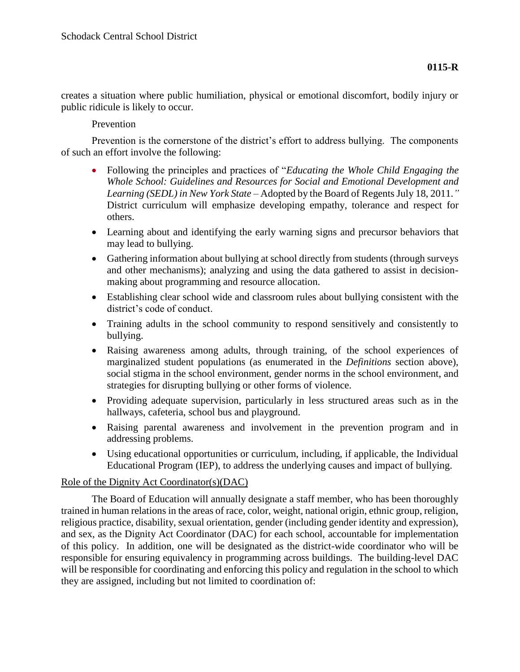creates a situation where public humiliation, physical or emotional discomfort, bodily injury or public ridicule is likely to occur.

# Prevention

Prevention is the cornerstone of the district's effort to address bullying. The components of such an effort involve the following:

- Following the principles and practices of "*Educating the Whole Child Engaging the Whole School: Guidelines and Resources for Social and Emotional Development and Learning (SEDL) in New York State* – Adopted by the Board of Regents July 18, 2011.*"* District curriculum will emphasize developing empathy, tolerance and respect for others.
- Learning about and identifying the early warning signs and precursor behaviors that may lead to bullying.
- Gathering information about bullying at school directly from students (through surveys and other mechanisms); analyzing and using the data gathered to assist in decisionmaking about programming and resource allocation.
- Establishing clear school wide and classroom rules about bullying consistent with the district's code of conduct.
- Training adults in the school community to respond sensitively and consistently to bullying.
- Raising awareness among adults, through training, of the school experiences of marginalized student populations (as enumerated in the *Definitions* section above), social stigma in the school environment, gender norms in the school environment, and strategies for disrupting bullying or other forms of violence.
- Providing adequate supervision, particularly in less structured areas such as in the hallways, cafeteria, school bus and playground.
- Raising parental awareness and involvement in the prevention program and in addressing problems.
- Using educational opportunities or curriculum, including, if applicable, the Individual Educational Program (IEP), to address the underlying causes and impact of bullying.

### Role of the Dignity Act Coordinator(s)(DAC)

The Board of Education will annually designate a staff member, who has been thoroughly trained in human relations in the areas of race, color, weight, national origin, ethnic group, religion, religious practice, disability, sexual orientation, gender (including gender identity and expression), and sex, as the Dignity Act Coordinator (DAC) for each school, accountable for implementation of this policy. In addition, one will be designated as the district-wide coordinator who will be responsible for ensuring equivalency in programming across buildings. The building-level DAC will be responsible for coordinating and enforcing this policy and regulation in the school to which they are assigned, including but not limited to coordination of: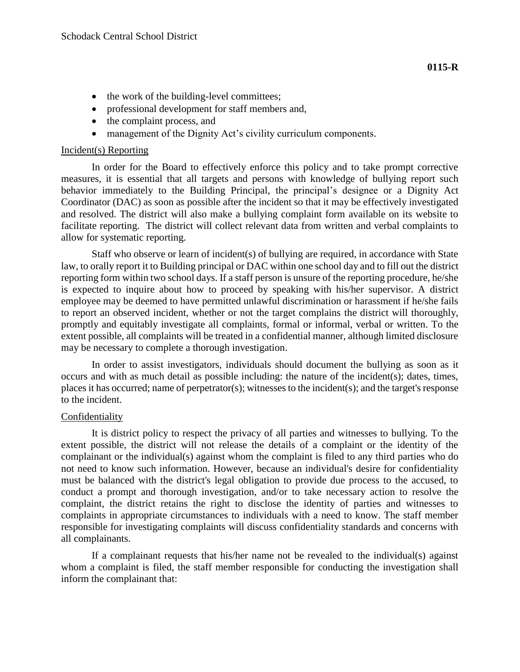- the work of the building-level committees;
- professional development for staff members and,
- the complaint process, and
- management of the Dignity Act's civility curriculum components.

#### Incident(s) Reporting

In order for the Board to effectively enforce this policy and to take prompt corrective measures, it is essential that all targets and persons with knowledge of bullying report such behavior immediately to the Building Principal, the principal's designee or a Dignity Act Coordinator (DAC) as soon as possible after the incident so that it may be effectively investigated and resolved. The district will also make a bullying complaint form available on its website to facilitate reporting. The district will collect relevant data from written and verbal complaints to allow for systematic reporting.

Staff who observe or learn of incident(s) of bullying are required, in accordance with State law, to orally report it to Building principal or DAC within one school day and to fill out the district reporting form within two school days. If a staff person is unsure of the reporting procedure, he/she is expected to inquire about how to proceed by speaking with his/her supervisor. A district employee may be deemed to have permitted unlawful discrimination or harassment if he/she fails to report an observed incident, whether or not the target complains the district will thoroughly, promptly and equitably investigate all complaints, formal or informal, verbal or written. To the extent possible, all complaints will be treated in a confidential manner, although limited disclosure may be necessary to complete a thorough investigation.

In order to assist investigators, individuals should document the bullying as soon as it occurs and with as much detail as possible including: the nature of the incident(s); dates, times, places it has occurred; name of perpetrator(s); witnesses to the incident(s); and the target's response to the incident.

### Confidentiality

It is district policy to respect the privacy of all parties and witnesses to bullying. To the extent possible, the district will not release the details of a complaint or the identity of the complainant or the individual(s) against whom the complaint is filed to any third parties who do not need to know such information. However, because an individual's desire for confidentiality must be balanced with the district's legal obligation to provide due process to the accused, to conduct a prompt and thorough investigation, and/or to take necessary action to resolve the complaint, the district retains the right to disclose the identity of parties and witnesses to complaints in appropriate circumstances to individuals with a need to know. The staff member responsible for investigating complaints will discuss confidentiality standards and concerns with all complainants.

If a complainant requests that his/her name not be revealed to the individual(s) against whom a complaint is filed, the staff member responsible for conducting the investigation shall inform the complainant that: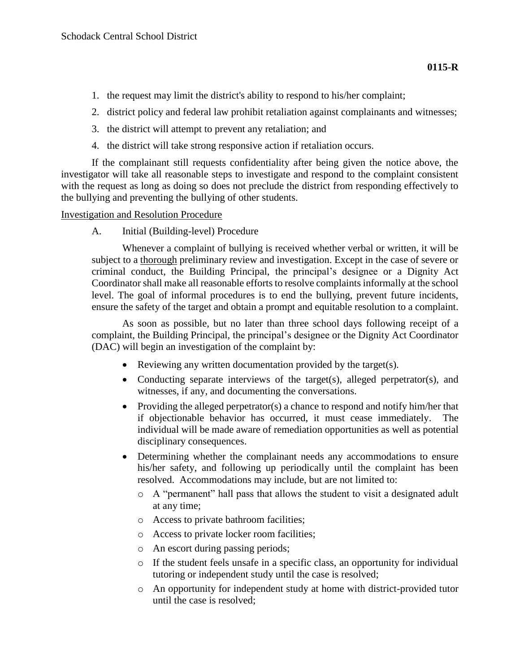- 1. the request may limit the district's ability to respond to his/her complaint;
- 2. district policy and federal law prohibit retaliation against complainants and witnesses;
- 3. the district will attempt to prevent any retaliation; and
- 4. the district will take strong responsive action if retaliation occurs.

If the complainant still requests confidentiality after being given the notice above, the investigator will take all reasonable steps to investigate and respond to the complaint consistent with the request as long as doing so does not preclude the district from responding effectively to the bullying and preventing the bullying of other students.

# Investigation and Resolution Procedure

A. Initial (Building-level) Procedure

Whenever a complaint of bullying is received whether verbal or written, it will be subject to a thorough preliminary review and investigation. Except in the case of severe or criminal conduct, the Building Principal, the principal's designee or a Dignity Act Coordinator shall make all reasonable efforts to resolve complaints informally at the school level. The goal of informal procedures is to end the bullying, prevent future incidents, ensure the safety of the target and obtain a prompt and equitable resolution to a complaint.

As soon as possible, but no later than three school days following receipt of a complaint, the Building Principal, the principal's designee or the Dignity Act Coordinator (DAC) will begin an investigation of the complaint by:

- Reviewing any written documentation provided by the target(s).
- Conducting separate interviews of the target(s), alleged perpetrator(s), and witnesses, if any, and documenting the conversations.
- Providing the alleged perpetrator(s) a chance to respond and notify him/her that if objectionable behavior has occurred, it must cease immediately. The individual will be made aware of remediation opportunities as well as potential disciplinary consequences.
- Determining whether the complainant needs any accommodations to ensure his/her safety, and following up periodically until the complaint has been resolved. Accommodations may include, but are not limited to:
	- o A "permanent" hall pass that allows the student to visit a designated adult at any time;
	- o Access to private bathroom facilities;
	- o Access to private locker room facilities;
	- o An escort during passing periods;
	- o If the student feels unsafe in a specific class, an opportunity for individual tutoring or independent study until the case is resolved;
	- o An opportunity for independent study at home with district-provided tutor until the case is resolved;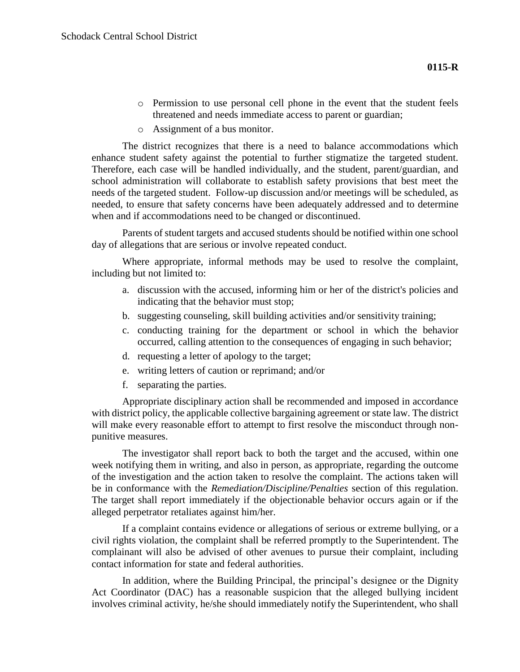- o Permission to use personal cell phone in the event that the student feels threatened and needs immediate access to parent or guardian;
- o Assignment of a bus monitor.

The district recognizes that there is a need to balance accommodations which enhance student safety against the potential to further stigmatize the targeted student. Therefore, each case will be handled individually, and the student, parent/guardian, and school administration will collaborate to establish safety provisions that best meet the needs of the targeted student. Follow-up discussion and/or meetings will be scheduled, as needed, to ensure that safety concerns have been adequately addressed and to determine when and if accommodations need to be changed or discontinued.

Parents of student targets and accused students should be notified within one school day of allegations that are serious or involve repeated conduct.

Where appropriate, informal methods may be used to resolve the complaint, including but not limited to:

- a. discussion with the accused, informing him or her of the district's policies and indicating that the behavior must stop;
- b. suggesting counseling, skill building activities and/or sensitivity training;
- c. conducting training for the department or school in which the behavior occurred, calling attention to the consequences of engaging in such behavior;
- d. requesting a letter of apology to the target;
- e. writing letters of caution or reprimand; and/or
- f. separating the parties.

Appropriate disciplinary action shall be recommended and imposed in accordance with district policy, the applicable collective bargaining agreement or state law. The district will make every reasonable effort to attempt to first resolve the misconduct through nonpunitive measures.

The investigator shall report back to both the target and the accused, within one week notifying them in writing, and also in person, as appropriate, regarding the outcome of the investigation and the action taken to resolve the complaint. The actions taken will be in conformance with the *Remediation/Discipline/Penalties* section of this regulation. The target shall report immediately if the objectionable behavior occurs again or if the alleged perpetrator retaliates against him/her.

If a complaint contains evidence or allegations of serious or extreme bullying, or a civil rights violation, the complaint shall be referred promptly to the Superintendent. The complainant will also be advised of other avenues to pursue their complaint, including contact information for state and federal authorities.

In addition, where the Building Principal, the principal's designee or the Dignity Act Coordinator (DAC) has a reasonable suspicion that the alleged bullying incident involves criminal activity, he/she should immediately notify the Superintendent, who shall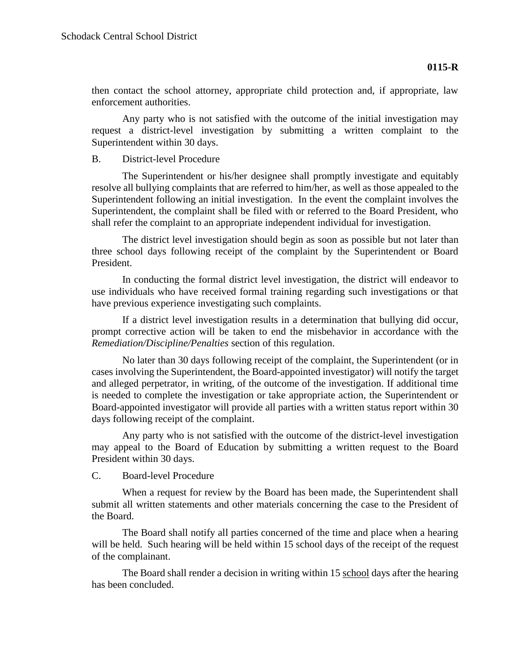then contact the school attorney, appropriate child protection and, if appropriate, law enforcement authorities.

Any party who is not satisfied with the outcome of the initial investigation may request a district-level investigation by submitting a written complaint to the Superintendent within 30 days.

### B. District-level Procedure

The Superintendent or his/her designee shall promptly investigate and equitably resolve all bullying complaints that are referred to him/her, as well as those appealed to the Superintendent following an initial investigation. In the event the complaint involves the Superintendent, the complaint shall be filed with or referred to the Board President, who shall refer the complaint to an appropriate independent individual for investigation.

The district level investigation should begin as soon as possible but not later than three school days following receipt of the complaint by the Superintendent or Board President.

In conducting the formal district level investigation, the district will endeavor to use individuals who have received formal training regarding such investigations or that have previous experience investigating such complaints.

If a district level investigation results in a determination that bullying did occur, prompt corrective action will be taken to end the misbehavior in accordance with the *Remediation/Discipline/Penalties* section of this regulation.

No later than 30 days following receipt of the complaint, the Superintendent (or in cases involving the Superintendent, the Board-appointed investigator) will notify the target and alleged perpetrator, in writing, of the outcome of the investigation. If additional time is needed to complete the investigation or take appropriate action, the Superintendent or Board-appointed investigator will provide all parties with a written status report within 30 days following receipt of the complaint.

Any party who is not satisfied with the outcome of the district-level investigation may appeal to the Board of Education by submitting a written request to the Board President within 30 days.

### C. Board-level Procedure

When a request for review by the Board has been made, the Superintendent shall submit all written statements and other materials concerning the case to the President of the Board.

The Board shall notify all parties concerned of the time and place when a hearing will be held. Such hearing will be held within 15 school days of the receipt of the request of the complainant.

The Board shall render a decision in writing within 15 school days after the hearing has been concluded.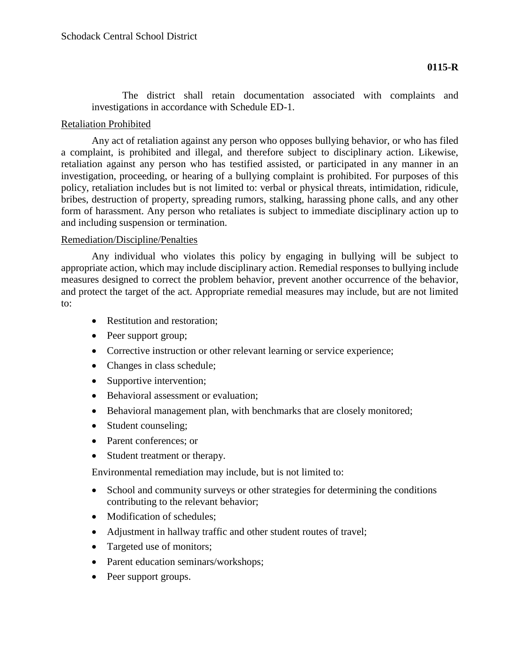The district shall retain documentation associated with complaints and investigations in accordance with Schedule ED-1.

# Retaliation Prohibited

Any act of retaliation against any person who opposes bullying behavior, or who has filed a complaint, is prohibited and illegal, and therefore subject to disciplinary action. Likewise, retaliation against any person who has testified assisted, or participated in any manner in an investigation, proceeding, or hearing of a bullying complaint is prohibited. For purposes of this policy, retaliation includes but is not limited to: verbal or physical threats, intimidation, ridicule, bribes, destruction of property, spreading rumors, stalking, harassing phone calls, and any other form of harassment. Any person who retaliates is subject to immediate disciplinary action up to and including suspension or termination.

### Remediation/Discipline/Penalties

Any individual who violates this policy by engaging in bullying will be subject to appropriate action, which may include disciplinary action. Remedial responses to bullying include measures designed to correct the problem behavior, prevent another occurrence of the behavior, and protect the target of the act. Appropriate remedial measures may include, but are not limited to:

- Restitution and restoration;
- Peer support group;
- Corrective instruction or other relevant learning or service experience;
- Changes in class schedule;
- Supportive intervention;
- Behavioral assessment or evaluation;
- Behavioral management plan, with benchmarks that are closely monitored;
- Student counseling;
- Parent conferences; or
- Student treatment or therapy.

Environmental remediation may include, but is not limited to:

- School and community surveys or other strategies for determining the conditions contributing to the relevant behavior;
- Modification of schedules:
- Adjustment in hallway traffic and other student routes of travel;
- Targeted use of monitors;
- Parent education seminars/workshops;
- Peer support groups.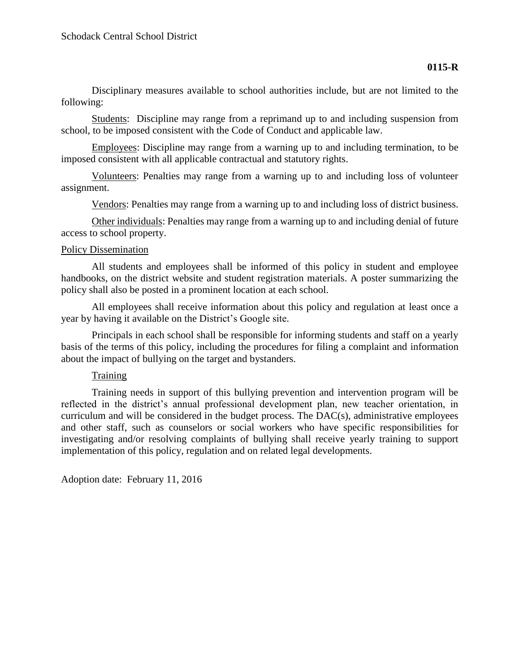Disciplinary measures available to school authorities include, but are not limited to the following:

Students: Discipline may range from a reprimand up to and including suspension from school, to be imposed consistent with the Code of Conduct and applicable law.

Employees: Discipline may range from a warning up to and including termination, to be imposed consistent with all applicable contractual and statutory rights.

Volunteers: Penalties may range from a warning up to and including loss of volunteer assignment.

Vendors: Penalties may range from a warning up to and including loss of district business.

Other individuals: Penalties may range from a warning up to and including denial of future access to school property.

### Policy Dissemination

All students and employees shall be informed of this policy in student and employee handbooks, on the district website and student registration materials. A poster summarizing the policy shall also be posted in a prominent location at each school.

All employees shall receive information about this policy and regulation at least once a year by having it available on the District's Google site.

Principals in each school shall be responsible for informing students and staff on a yearly basis of the terms of this policy, including the procedures for filing a complaint and information about the impact of bullying on the target and bystanders.

### Training

Training needs in support of this bullying prevention and intervention program will be reflected in the district's annual professional development plan, new teacher orientation, in curriculum and will be considered in the budget process. The DAC(s), administrative employees and other staff, such as counselors or social workers who have specific responsibilities for investigating and/or resolving complaints of bullying shall receive yearly training to support implementation of this policy, regulation and on related legal developments.

Adoption date: February 11, 2016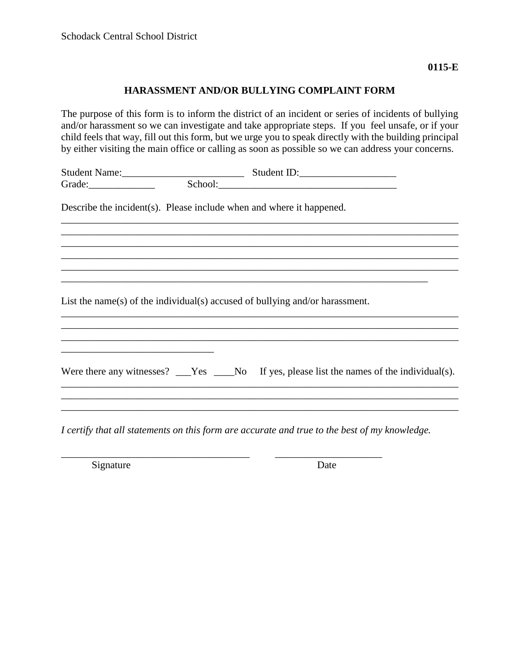### **HARASSMENT AND/OR BULLYING COMPLAINT FORM**

The purpose of this form is to inform the district of an incident or series of incidents of bullying and/or harassment so we can investigate and take appropriate steps. If you feel unsafe, or if your child feels that way, fill out this form, but we urge you to speak directly with the building principal by either visiting the main office or calling as soon as possible so we can address your concerns.

\_\_\_\_\_\_\_\_\_\_\_\_\_\_\_\_\_\_\_\_\_\_\_\_\_\_\_\_\_\_\_\_\_\_\_\_\_\_\_\_\_\_\_\_\_\_\_\_\_\_\_\_\_\_\_\_\_\_\_\_\_\_\_\_\_\_\_\_\_\_\_\_\_\_\_\_\_\_ \_\_\_\_\_\_\_\_\_\_\_\_\_\_\_\_\_\_\_\_\_\_\_\_\_\_\_\_\_\_\_\_\_\_\_\_\_\_\_\_\_\_\_\_\_\_\_\_\_\_\_\_\_\_\_\_\_\_\_\_\_\_\_\_\_\_\_\_\_\_\_\_\_\_\_\_\_\_ \_\_\_\_\_\_\_\_\_\_\_\_\_\_\_\_\_\_\_\_\_\_\_\_\_\_\_\_\_\_\_\_\_\_\_\_\_\_\_\_\_\_\_\_\_\_\_\_\_\_\_\_\_\_\_\_\_\_\_\_\_\_\_\_\_\_\_\_\_\_\_\_\_\_\_\_\_\_ \_\_\_\_\_\_\_\_\_\_\_\_\_\_\_\_\_\_\_\_\_\_\_\_\_\_\_\_\_\_\_\_\_\_\_\_\_\_\_\_\_\_\_\_\_\_\_\_\_\_\_\_\_\_\_\_\_\_\_\_\_\_\_\_\_\_\_\_\_\_\_\_\_\_\_\_\_\_ \_\_\_\_\_\_\_\_\_\_\_\_\_\_\_\_\_\_\_\_\_\_\_\_\_\_\_\_\_\_\_\_\_\_\_\_\_\_\_\_\_\_\_\_\_\_\_\_\_\_\_\_\_\_\_\_\_\_\_\_\_\_\_\_\_\_\_\_\_\_\_\_\_\_\_\_\_\_

| <b>Student Name:</b> |         | Student ID: |  |
|----------------------|---------|-------------|--|
| Grade:               | School: |             |  |

\_\_\_\_\_\_\_\_\_\_\_\_\_\_\_\_\_\_\_\_\_\_\_\_\_\_\_\_\_\_\_\_\_\_\_\_\_\_\_\_\_\_\_\_\_\_\_\_\_\_\_\_\_\_\_\_\_\_\_\_\_\_\_\_\_\_\_\_\_\_\_\_

Describe the incident(s). Please include when and where it happened.

List the name(s) of the individual(s) accused of bullying and/or harassment.

| Were there any witnesses? $\_\_\_\$ Nes $\_\_\_\$ No If yes, please list the names of the individual(s). |
|----------------------------------------------------------------------------------------------------------|
|                                                                                                          |

\_\_\_\_\_\_\_\_\_\_\_\_\_\_\_\_\_\_\_\_\_\_\_\_\_\_\_\_\_\_\_\_\_\_\_\_\_\_\_\_\_\_\_\_\_\_\_\_\_\_\_\_\_\_\_\_\_\_\_\_\_\_\_\_\_\_\_\_\_\_\_\_\_\_\_\_\_\_

*I certify that all statements on this form are accurate and true to the best of my knowledge.*

\_\_\_\_\_\_\_\_\_\_\_\_\_\_\_\_\_\_\_\_\_\_\_\_\_\_\_\_\_\_\_\_\_\_\_\_\_ \_\_\_\_\_\_\_\_\_\_\_\_\_\_\_\_\_\_\_\_\_

Signature Date